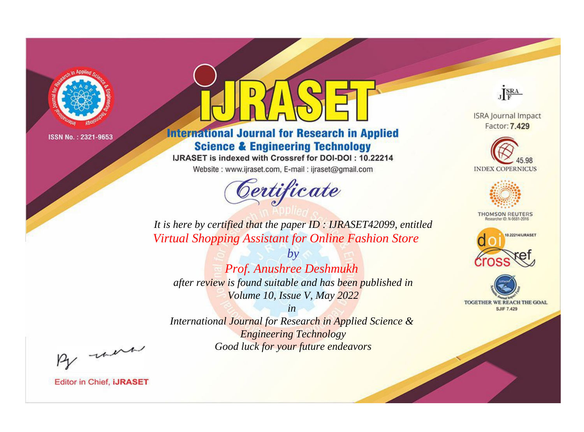

# **International Journal for Research in Applied Science & Engineering Technology**

IJRASET is indexed with Crossref for DOI-DOI: 10.22214

Website: www.ijraset.com, E-mail: ijraset@gmail.com



JERA

**ISRA Journal Impact** Factor: 7.429





**THOMSON REUTERS** 



TOGETHER WE REACH THE GOAL **SJIF 7.429** 

*It is here by certified that the paper ID : IJRASET42099, entitled Virtual Shopping Assistant for Online Fashion Store*

*by Prof. Anushree Deshmukh after review is found suitable and has been published in Volume 10, Issue V, May 2022*

*in* 

*International Journal for Research in Applied Science & Engineering Technology Good luck for your future endeavors*

By morn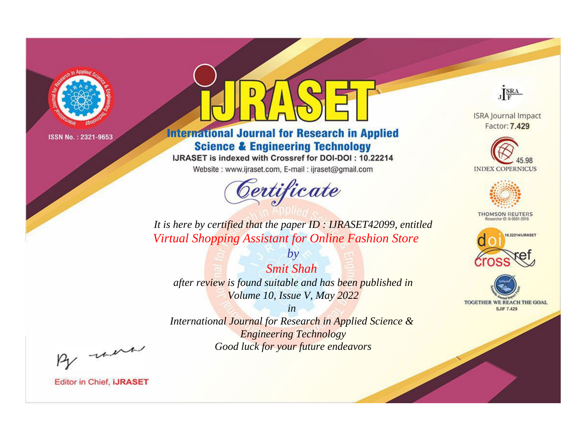

# **International Journal for Research in Applied Science & Engineering Technology**

IJRASET is indexed with Crossref for DOI-DOI: 10.22214

Website: www.ijraset.com, E-mail: ijraset@gmail.com



JERA

**ISRA Journal Impact** Factor: 7.429





**THOMSON REUTERS** 



TOGETHER WE REACH THE GOAL **SJIF 7.429** 

*It is here by certified that the paper ID : IJRASET42099, entitled Virtual Shopping Assistant for Online Fashion Store*

*Smit Shah after review is found suitable and has been published in Volume 10, Issue V, May 2022*

*by*

*in* 

*International Journal for Research in Applied Science & Engineering Technology Good luck for your future endeavors*

By morn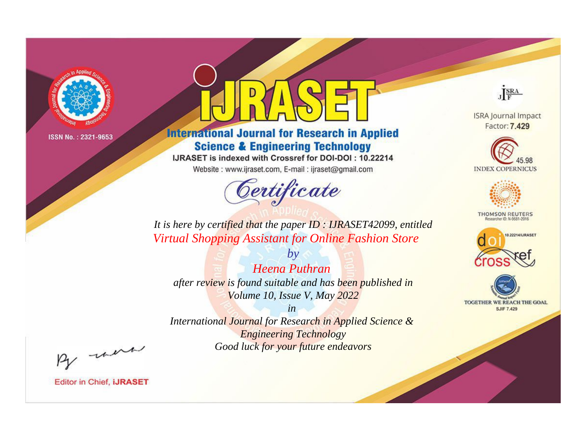

# **International Journal for Research in Applied Science & Engineering Technology**

IJRASET is indexed with Crossref for DOI-DOI: 10.22214

Website: www.ijraset.com, E-mail: ijraset@gmail.com



JERA

**ISRA Journal Impact** Factor: 7.429





**THOMSON REUTERS** 



TOGETHER WE REACH THE GOAL **SJIF 7.429** 

*It is here by certified that the paper ID : IJRASET42099, entitled Virtual Shopping Assistant for Online Fashion Store*

*Heena Puthran after review is found suitable and has been published in Volume 10, Issue V, May 2022*

*by*

*in* 

*International Journal for Research in Applied Science & Engineering Technology Good luck for your future endeavors*

By morn